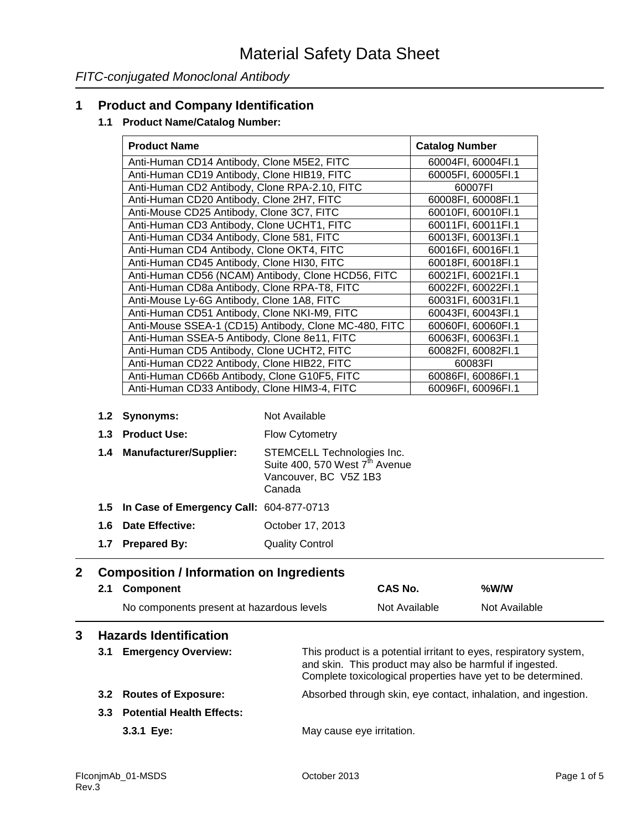## **1 Product and Company Identification**

#### **1.1 Product Name/Catalog Number:**

| <b>Product Name</b>                                   |                                                    | <b>Catalog Number</b> |
|-------------------------------------------------------|----------------------------------------------------|-----------------------|
| Anti-Human CD14 Antibody, Clone M5E2, FITC            |                                                    | 60004FI, 60004FI.1    |
| Anti-Human CD19 Antibody, Clone HIB19, FITC           |                                                    | 60005FI, 60005FI.1    |
| Anti-Human CD2 Antibody, Clone RPA-2.10, FITC         |                                                    | 60007FI               |
| Anti-Human CD20 Antibody, Clone 2H7, FITC             |                                                    | 60008FI, 60008FI.1    |
| Anti-Mouse CD25 Antibody, Clone 3C7, FITC             |                                                    | 60010FI, 60010FI.1    |
| Anti-Human CD3 Antibody, Clone UCHT1, FITC            |                                                    | 60011FI, 60011FI.1    |
| Anti-Human CD34 Antibody, Clone 581, FITC             |                                                    | 60013FI, 60013FI.1    |
| Anti-Human CD4 Antibody, Clone OKT4, FITC             |                                                    | 60016FI, 60016FI.1    |
| Anti-Human CD45 Antibody, Clone HI30, FITC            |                                                    | 60018FI, 60018FI.1    |
|                                                       | Anti-Human CD56 (NCAM) Antibody, Clone HCD56, FITC | 60021FI, 60021FI.1    |
| Anti-Human CD8a Antibody, Clone RPA-T8, FITC          |                                                    | 60022FI, 60022FI.1    |
| Anti-Mouse Ly-6G Antibody, Clone 1A8, FITC            |                                                    | 60031FI, 60031FI.1    |
| Anti-Human CD51 Antibody, Clone NKI-M9, FITC          |                                                    | 60043FI, 60043FI.1    |
| Anti-Mouse SSEA-1 (CD15) Antibody, Clone MC-480, FITC |                                                    | 60060FI, 60060FI.1    |
| Anti-Human SSEA-5 Antibody, Clone 8e11, FITC          |                                                    | 60063FI, 60063FI.1    |
| Anti-Human CD5 Antibody, Clone UCHT2, FITC            |                                                    | 60082FI, 60082FI.1    |
| Anti-Human CD22 Antibody, Clone HIB22, FITC           |                                                    | 60083FI               |
| Anti-Human CD66b Antibody, Clone G10F5, FITC          |                                                    | 60086FI, 60086FI.1    |
| Anti-Human CD33 Antibody, Clone HIM3-4, FITC          |                                                    | 60096FI, 60096FI.1    |
| 1.2 Synonyms:                                         | Not Available                                      |                       |
| 1.3 Product Use:                                      | Flow Cytometry                                     |                       |
| 1 1 Manufaaturar/Quanliaru                            | CTEMOELL Toobnologias Ing                          |                       |

| 1.4 Manufacturer/Supplier: | STEMCELL Technologies Inc.                 |
|----------------------------|--------------------------------------------|
|                            | Suite 400, 570 West 7 <sup>th</sup> Avenue |
|                            | Vancouver, BC V5Z 1B3                      |
|                            | Canada                                     |
|                            |                                            |

# **1.5 In Case of Emergency Call:** 604-877-0713

## **1.6 Date Effective:** October 17, 2013

## **1.7 Prepared By:** Quality Control

## **2 Composition / Information on Ingredients**

| 2.1 Component |                                           | <b>CAS No.</b> | %W/W          |
|---------------|-------------------------------------------|----------------|---------------|
|               | No components present at hazardous levels | Not Available  | Not Available |
|               | ______________                            |                |               |

## **3 Hazards Identification**

| 3.1 | <b>Emergency Overview:</b>    | This product is a potential irritant to eyes, respiratory system,<br>and skin. This product may also be harmful if ingested.<br>Complete toxicological properties have yet to be determined. |
|-----|-------------------------------|----------------------------------------------------------------------------------------------------------------------------------------------------------------------------------------------|
|     | 3.2 Routes of Exposure:       | Absorbed through skin, eye contact, inhalation, and ingestion.                                                                                                                               |
|     | 3.3 Potential Health Effects: |                                                                                                                                                                                              |
|     | 3.3.1 Eye:                    | May cause eye irritation.                                                                                                                                                                    |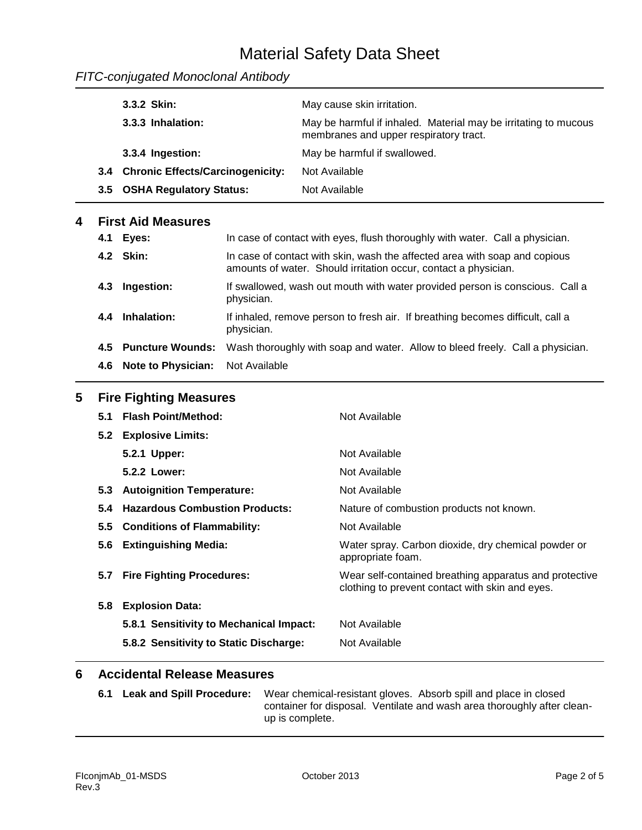## Material Safety Data Sheet

| FITC-conjugated Monoclonal Antibody |
|-------------------------------------|
|-------------------------------------|

|   |     | 3.3.2 Skin:                             |               | May cause skin irritation.                                                                                                                    |
|---|-----|-----------------------------------------|---------------|-----------------------------------------------------------------------------------------------------------------------------------------------|
|   |     | 3.3.3 Inhalation:                       |               | May be harmful if inhaled. Material may be irritating to mucous<br>membranes and upper respiratory tract.                                     |
|   |     | 3.3.4 Ingestion:                        |               | May be harmful if swallowed.                                                                                                                  |
|   |     | 3.4 Chronic Effects/Carcinogenicity:    |               | Not Available                                                                                                                                 |
|   | 3.5 | <b>OSHA Regulatory Status:</b>          |               | Not Available                                                                                                                                 |
| 4 |     | <b>First Aid Measures</b>               |               |                                                                                                                                               |
|   | 4.1 | Eyes:                                   |               | In case of contact with eyes, flush thoroughly with water. Call a physician.                                                                  |
|   |     | 4.2 Skin:                               |               | In case of contact with skin, wash the affected area with soap and copious<br>amounts of water. Should irritation occur, contact a physician. |
|   | 4.3 | Ingestion:                              | physician.    | If swallowed, wash out mouth with water provided person is conscious. Call a                                                                  |
|   | 4.4 | Inhalation:                             | physician.    | If inhaled, remove person to fresh air. If breathing becomes difficult, call a                                                                |
|   | 4.5 | <b>Puncture Wounds:</b>                 |               | Wash thoroughly with soap and water. Allow to bleed freely. Call a physician.                                                                 |
|   | 4.6 | <b>Note to Physician:</b>               | Not Available |                                                                                                                                               |
| 5 |     | <b>Fire Fighting Measures</b>           |               |                                                                                                                                               |
|   | 5.1 | <b>Flash Point/Method:</b>              |               | Not Available                                                                                                                                 |
|   | 5.2 | <b>Explosive Limits:</b>                |               |                                                                                                                                               |
|   |     | 5.2.1 Upper:                            |               | Not Available                                                                                                                                 |
|   |     | 5.2.2 Lower:                            |               | Not Available                                                                                                                                 |
|   | 5.3 | <b>Autoignition Temperature:</b>        |               | Not Available                                                                                                                                 |
|   | 5.4 | <b>Hazardous Combustion Products:</b>   |               | Nature of combustion products not known.                                                                                                      |
|   | 5.5 | <b>Conditions of Flammability:</b>      |               | Not Available                                                                                                                                 |
|   | 5.6 | <b>Extinguishing Media:</b>             |               | Water spray. Carbon dioxide, dry chemical powder or<br>appropriate foam.                                                                      |
|   | 5.7 | <b>Fire Fighting Procedures:</b>        |               | Wear self-contained breathing apparatus and protective<br>clothing to prevent contact with skin and eyes.                                     |
|   | 5.8 | <b>Explosion Data:</b>                  |               |                                                                                                                                               |
|   |     | 5.8.1 Sensitivity to Mechanical Impact: |               | Not Available                                                                                                                                 |
|   |     | 5.8.2 Sensitivity to Static Discharge:  |               | Not Available                                                                                                                                 |
|   |     |                                         |               |                                                                                                                                               |

## **6 Accidental Release Measures**

**6.1 Leak and Spill Procedure:** Wear chemical-resistant gloves. Absorb spill and place in closed container for disposal. Ventilate and wash area thoroughly after cleanup is complete.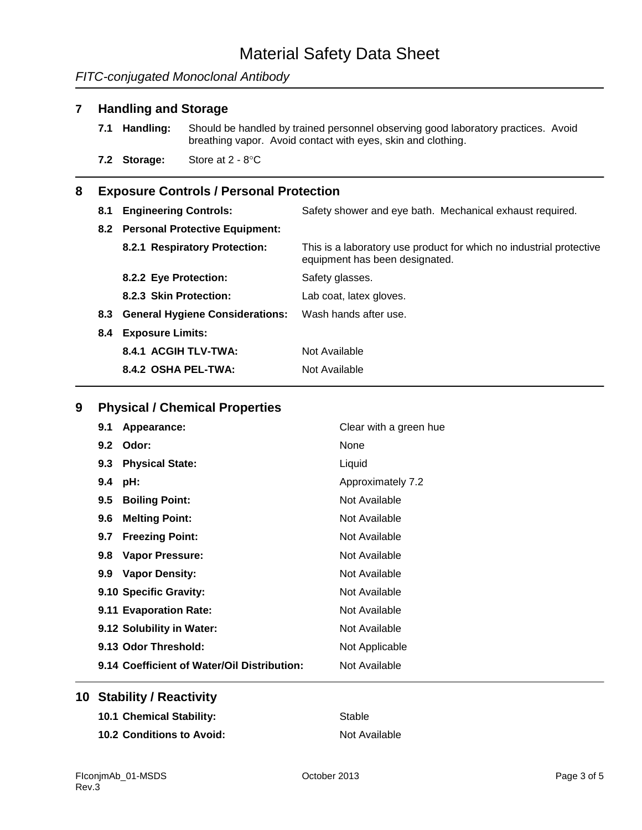## *FITC-conjugated Monoclonal Antibody*

#### **7 Handling and Storage**

- **7.1 Handling:** Should be handled by trained personnel observing good laboratory practices. Avoid breathing vapor. Avoid contact with eyes, skin and clothing.
- **7.2 Storage:** Store at 2 8°C

#### **8 Exposure Controls / Personal Protection**

| 8.1 | <b>Engineering Controls:</b>        | Safety shower and eye bath. Mechanical exhaust required.                                              |
|-----|-------------------------------------|-------------------------------------------------------------------------------------------------------|
|     | 8.2 Personal Protective Equipment:  |                                                                                                       |
|     | 8.2.1 Respiratory Protection:       | This is a laboratory use product for which no industrial protective<br>equipment has been designated. |
|     | 8.2.2 Eye Protection:               | Safety glasses.                                                                                       |
|     | 8.2.3 Skin Protection:              | Lab coat, latex gloves.                                                                               |
|     | 8.3 General Hygiene Considerations: | Wash hands after use.                                                                                 |
| 8.4 | <b>Exposure Limits:</b>             |                                                                                                       |
|     | 8.4.1 ACGIH TLV-TWA:                | Not Available                                                                                         |
|     | 8.4.2 OSHA PEL-TWA:                 | Not Available                                                                                         |

#### **9 Physical / Chemical Properties**

| 9.1<br>Appearance:                          | Clear with a green hue |
|---------------------------------------------|------------------------|
| Odor:<br>9.2                                | None                   |
| <b>Physical State:</b><br>9.3               | Liquid                 |
| 9.4<br>pH:                                  | Approximately 7.2      |
| <b>Boiling Point:</b><br>$9.5^{\circ}$      | Not Available          |
| <b>Melting Point:</b><br>$9.6^{\circ}$      | Not Available          |
| <b>Freezing Point:</b><br>9.7               | Not Available          |
| Vapor Pressure:<br>9.8 <sub>1</sub>         | Not Available          |
| <b>Vapor Density:</b><br>9.9                | Not Available          |
| 9.10 Specific Gravity:                      | Not Available          |
| 9.11 Evaporation Rate:                      | Not Available          |
| 9.12 Solubility in Water:                   | Not Available          |
| 9.13 Odor Threshold:                        | Not Applicable         |
| 9.14 Coefficient of Water/Oil Distribution: | Not Available          |

## **10 Stability / Reactivity**

**10.1 Chemical Stability:** Stable **10.2 Conditions to Avoid:** Not Available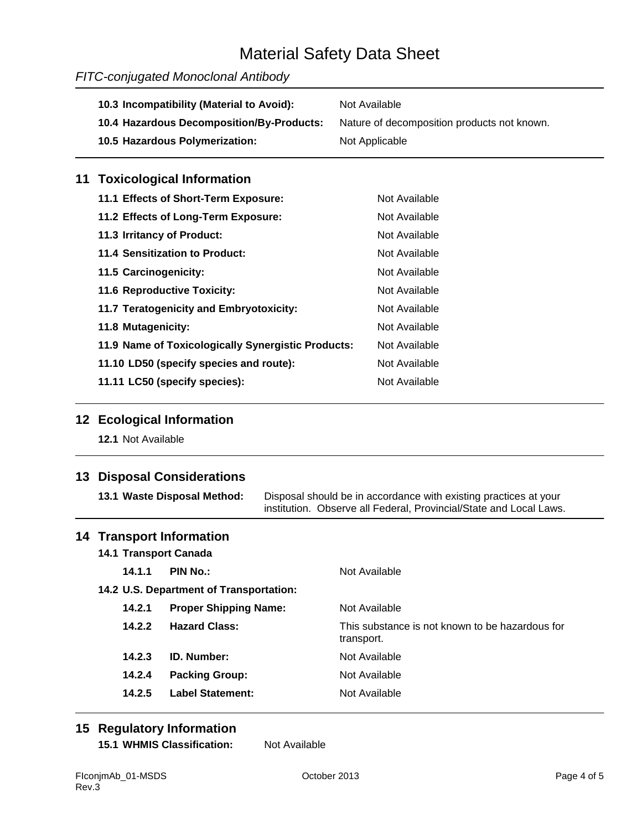## Material Safety Data Sheet

## *FITC-conjugated Monoclonal Antibody*

| 10.3 Incompatibility (Material to Avoid): | Not Available                               |
|-------------------------------------------|---------------------------------------------|
| 10.4 Hazardous Decomposition/By-Products: | Nature of decomposition products not known. |
| 10.5 Hazardous Polymerization:            | Not Applicable                              |
| 11 Toxicological Information              |                                             |
| 11.1 Effects of Short-Term Exposure:      | Not Available                               |

| TE ENGLIS OF SHOTL-TENIT EXPOSUTE.                 | <u>INUL AVAIIAUIE</u> |
|----------------------------------------------------|-----------------------|
| 11.2 Effects of Long-Term Exposure:                | Not Available         |
| 11.3 Irritancy of Product:                         | Not Available         |
| 11.4 Sensitization to Product:                     | Not Available         |
| 11.5 Carcinogenicity:                              | Not Available         |
| 11.6 Reproductive Toxicity:                        | Not Available         |
| 11.7 Teratogenicity and Embryotoxicity:            | Not Available         |
| 11.8 Mutagenicity:                                 | Not Available         |
| 11.9 Name of Toxicologically Synergistic Products: | Not Available         |
| 11.10 LD50 (specify species and route):            | Not Available         |
| 11.11 LC50 (specify species):                      | Not Available         |

### **12 Ecological Information**

**12.1** Not Available

## **13 Disposal Considerations**

| 13.1 Waste Disposal Method: | Disposal should be in accordance with existing practices at your   |  |
|-----------------------------|--------------------------------------------------------------------|--|
|                             | institution. Observe all Federal, Provincial/State and Local Laws. |  |

#### **14 Transport Information**

**14.1 Transport Canada 14.1.1 PIN No.:** Not Available **14.2 U.S. Department of Transportation: 14.2.1 Proper Shipping Name:** Not Available **14.2.2 Hazard Class:** This substance is not known to be hazardous for transport. **14.2.3 ID. Number:** Not Available **14.2.4 Packing Group:** Not Available **14.2.5 Label Statement:** Not Available

## **15 Regulatory Information**

**15.1 WHMIS Classification:** Not Available